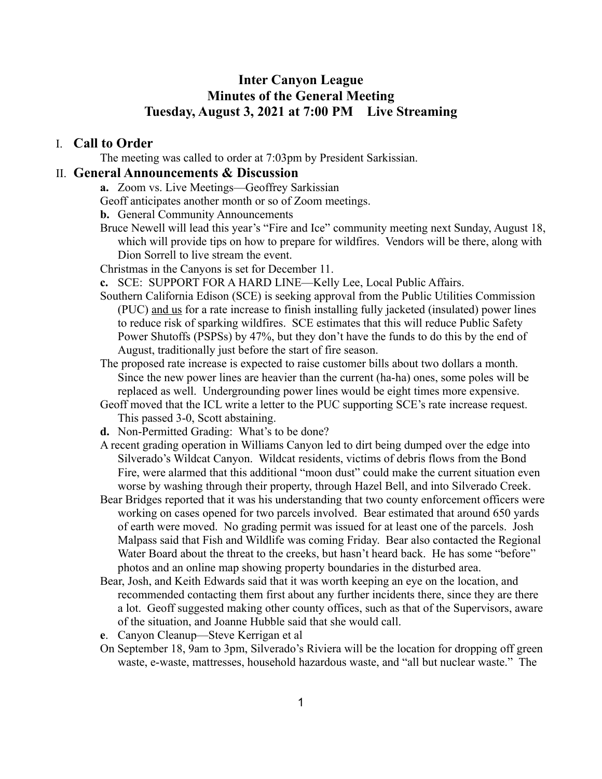# **Inter Canyon League Minutes of the General Meeting Tuesday, August 3, 2021 at 7:00 PM Live Streaming**

### I. **Call to Order**

The meeting was called to order at 7:03pm by President Sarkissian.

### II. **General Announcements & Discussion**

**a.** Zoom vs. Live Meetings—Geoffrey Sarkissian

Geoff anticipates another month or so of Zoom meetings.

**b.** General Community Announcements

Bruce Newell will lead this year's "Fire and Ice" community meeting next Sunday, August 18, which will provide tips on how to prepare for wildfires. Vendors will be there, along with Dion Sorrell to live stream the event.

Christmas in the Canyons is set for December 11.

- **c.** SCE: SUPPORT FOR A HARD LINE—Kelly Lee, Local Public Affairs.
- Southern California Edison (SCE) is seeking approval from the Public Utilities Commission (PUC) and us for a rate increase to finish installing fully jacketed (insulated) power lines to reduce risk of sparking wildfires. SCE estimates that this will reduce Public Safety Power Shutoffs (PSPSs) by 47%, but they don't have the funds to do this by the end of August, traditionally just before the start of fire season.
- The proposed rate increase is expected to raise customer bills about two dollars a month. Since the new power lines are heavier than the current (ha-ha) ones, some poles will be replaced as well. Undergrounding power lines would be eight times more expensive.
- Geoff moved that the ICL write a letter to the PUC supporting SCE's rate increase request. This passed 3-0, Scott abstaining.
- **d.** Non-Permitted Grading: What's to be done?
- A recent grading operation in Williams Canyon led to dirt being dumped over the edge into Silverado's Wildcat Canyon. Wildcat residents, victims of debris flows from the Bond Fire, were alarmed that this additional "moon dust" could make the current situation even worse by washing through their property, through Hazel Bell, and into Silverado Creek.
- Bear Bridges reported that it was his understanding that two county enforcement officers were working on cases opened for two parcels involved. Bear estimated that around 650 yards of earth were moved. No grading permit was issued for at least one of the parcels. Josh Malpass said that Fish and Wildlife was coming Friday. Bear also contacted the Regional Water Board about the threat to the creeks, but hasn't heard back. He has some "before" photos and an online map showing property boundaries in the disturbed area.
- Bear, Josh, and Keith Edwards said that it was worth keeping an eye on the location, and recommended contacting them first about any further incidents there, since they are there a lot. Geoff suggested making other county offices, such as that of the Supervisors, aware of the situation, and Joanne Hubble said that she would call.
- **e**. Canyon Cleanup—Steve Kerrigan et al
- On September 18, 9am to 3pm, Silverado's Riviera will be the location for dropping off green waste, e-waste, mattresses, household hazardous waste, and "all but nuclear waste." The